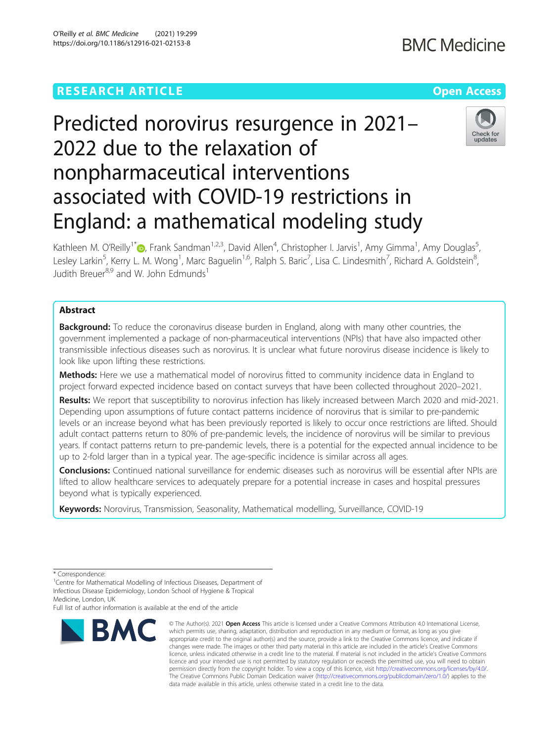## **RESEARCH ARTICLE Example 2014 12:30 The Company Access** (Capture 2014) 2014 12:30 The Open Access



# Predicted norovirus resurgence in 2021– 2022 due to the relaxation of nonpharmaceutical interventions associated with COVID-19 restrictions in England: a mathematical modeling study



Kathleen M. O'Reilly<sup>1\*</sup>D[,](http://orcid.org/0000-0002-4892-8022) Frank Sandman<sup>1,2,3</sup>, David Allen<sup>4</sup>, Christopher I. Jarvis<sup>1</sup>, Amy Gimma<sup>1</sup>, Amy Douglas<sup>5</sup> , Lesley Larkin<sup>5</sup>, Kerry L. M. Wong<sup>1</sup>, Marc Baguelin<sup>1,6</sup>, Ralph S. Baric<sup>7</sup>, Lisa C. Lindesmith<sup>7</sup>, Richard A. Goldstein<sup>8</sup> , Judith Breuer<sup>8,9</sup> and W. John Edmunds<sup>1</sup>

## Abstract

Background: To reduce the coronavirus disease burden in England, along with many other countries, the government implemented a package of non-pharmaceutical interventions (NPIs) that have also impacted other transmissible infectious diseases such as norovirus. It is unclear what future norovirus disease incidence is likely to look like upon lifting these restrictions.

Methods: Here we use a mathematical model of norovirus fitted to community incidence data in England to project forward expected incidence based on contact surveys that have been collected throughout 2020–2021.

Results: We report that susceptibility to norovirus infection has likely increased between March 2020 and mid-2021. Depending upon assumptions of future contact patterns incidence of norovirus that is similar to pre-pandemic levels or an increase beyond what has been previously reported is likely to occur once restrictions are lifted. Should adult contact patterns return to 80% of pre-pandemic levels, the incidence of norovirus will be similar to previous years. If contact patterns return to pre-pandemic levels, there is a potential for the expected annual incidence to be up to 2-fold larger than in a typical year. The age-specific incidence is similar across all ages.

Conclusions: Continued national surveillance for endemic diseases such as norovirus will be essential after NPIs are lifted to allow healthcare services to adequately prepare for a potential increase in cases and hospital pressures beyond what is typically experienced.

Keywords: Norovirus, Transmission, Seasonality, Mathematical modelling, Surveillance, COVID-19

Full list of author information is available at the end of the article



<sup>©</sup> The Author(s), 2021 **Open Access** This article is licensed under a Creative Commons Attribution 4.0 International License, which permits use, sharing, adaptation, distribution and reproduction in any medium or format, as long as you give appropriate credit to the original author(s) and the source, provide a link to the Creative Commons licence, and indicate if changes were made. The images or other third party material in this article are included in the article's Creative Commons licence, unless indicated otherwise in a credit line to the material. If material is not included in the article's Creative Commons licence and your intended use is not permitted by statutory regulation or exceeds the permitted use, you will need to obtain permission directly from the copyright holder. To view a copy of this licence, visit [http://creativecommons.org/licenses/by/4.0/.](http://creativecommons.org/licenses/by/4.0/) The Creative Commons Public Domain Dedication waiver [\(http://creativecommons.org/publicdomain/zero/1.0/](http://creativecommons.org/publicdomain/zero/1.0/)) applies to the data made available in this article, unless otherwise stated in a credit line to the data.

<sup>\*</sup> Correspondence:

<sup>&</sup>lt;sup>1</sup>Centre for Mathematical Modelling of Infectious Diseases, Department of Infectious Disease Epidemiology, London School of Hygiene & Tropical Medicine, London, UK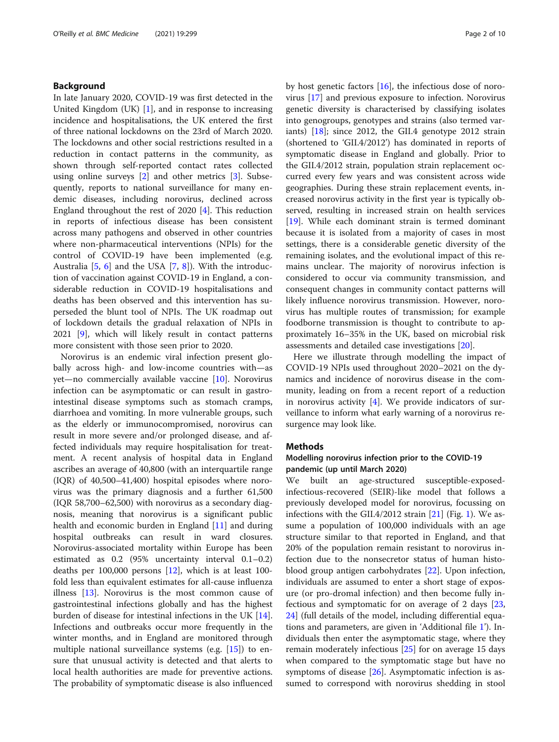## Background

In late January 2020, COVID-19 was first detected in the United Kingdom (UK) [\[1](#page-8-0)], and in response to increasing incidence and hospitalisations, the UK entered the first of three national lockdowns on the 23rd of March 2020. The lockdowns and other social restrictions resulted in a reduction in contact patterns in the community, as shown through self-reported contact rates collected using online surveys  $[2]$  $[2]$  and other metrics  $[3]$  $[3]$ . Subsequently, reports to national surveillance for many endemic diseases, including norovirus, declined across England throughout the rest of 2020 [[4\]](#page-8-0). This reduction in reports of infectious disease has been consistent across many pathogens and observed in other countries where non-pharmaceutical interventions (NPIs) for the control of COVID-19 have been implemented (e.g. Australia  $[5, 6]$  $[5, 6]$  $[5, 6]$  and the USA  $[7, 8]$  $[7, 8]$  $[7, 8]$  $[7, 8]$ ). With the introduction of vaccination against COVID-19 in England, a considerable reduction in COVID-19 hospitalisations and deaths has been observed and this intervention has superseded the blunt tool of NPIs. The UK roadmap out of lockdown details the gradual relaxation of NPIs in 2021 [\[9](#page-9-0)], which will likely result in contact patterns more consistent with those seen prior to 2020.

Norovirus is an endemic viral infection present globally across high- and low-income countries with—as yet—no commercially available vaccine [[10](#page-9-0)]. Norovirus infection can be asymptomatic or can result in gastrointestinal disease symptoms such as stomach cramps, diarrhoea and vomiting. In more vulnerable groups, such as the elderly or immunocompromised, norovirus can result in more severe and/or prolonged disease, and affected individuals may require hospitalisation for treatment. A recent analysis of hospital data in England ascribes an average of 40,800 (with an interquartile range (IQR) of 40,500–41,400) hospital episodes where norovirus was the primary diagnosis and a further 61,500 (IQR 58,700–62,500) with norovirus as a secondary diagnosis, meaning that norovirus is a significant public health and economic burden in England [\[11](#page-9-0)] and during hospital outbreaks can result in ward closures. Norovirus-associated mortality within Europe has been estimated as 0.2 (95% uncertainty interval 0.1–0.2) deaths per 100,000 persons [\[12](#page-9-0)], which is at least 100 fold less than equivalent estimates for all-cause influenza illness [\[13](#page-9-0)]. Norovirus is the most common cause of gastrointestinal infections globally and has the highest burden of disease for intestinal infections in the UK  $[14]$  $[14]$ . Infections and outbreaks occur more frequently in the winter months, and in England are monitored through multiple national surveillance systems (e.g. [\[15\]](#page-9-0)) to ensure that unusual activity is detected and that alerts to local health authorities are made for preventive actions. The probability of symptomatic disease is also influenced by host genetic factors [[16\]](#page-9-0), the infectious dose of norovirus [\[17](#page-9-0)] and previous exposure to infection. Norovirus genetic diversity is characterised by classifying isolates into genogroups, genotypes and strains (also termed variants)  $[18]$ ; since 2012, the GII.4 genotype 2012 strain (shortened to 'GII.4/2012') has dominated in reports of symptomatic disease in England and globally. Prior to the GII.4/2012 strain, population strain replacement occurred every few years and was consistent across wide geographies. During these strain replacement events, increased norovirus activity in the first year is typically observed, resulting in increased strain on health services [[19\]](#page-9-0). While each dominant strain is termed dominant because it is isolated from a majority of cases in most settings, there is a considerable genetic diversity of the remaining isolates, and the evolutional impact of this remains unclear. The majority of norovirus infection is considered to occur via community transmission, and consequent changes in community contact patterns will likely influence norovirus transmission. However, norovirus has multiple routes of transmission; for example foodborne transmission is thought to contribute to approximately 16–35% in the UK, based on microbial risk assessments and detailed case investigations [[20\]](#page-9-0).

Here we illustrate through modelling the impact of COVID-19 NPIs used throughout 2020–2021 on the dynamics and incidence of norovirus disease in the community, leading on from a recent report of a reduction in norovirus activity  $[4]$  $[4]$ . We provide indicators of surveillance to inform what early warning of a norovirus resurgence may look like.

#### Methods

## Modelling norovirus infection prior to the COVID-19 pandemic (up until March 2020)

We built an age-structured susceptible-exposedinfectious-recovered (SEIR)-like model that follows a previously developed model for norovirus, focussing on infections with the GII. $4/2012$  $4/2012$  $4/2012$  strain [[21\]](#page-9-0) (Fig. 1). We assume a population of 100,000 individuals with an age structure similar to that reported in England, and that 20% of the population remain resistant to norovirus infection due to the nonsecretor status of human histoblood group antigen carbohydrates [[22\]](#page-9-0). Upon infection, individuals are assumed to enter a short stage of exposure (or pro-dromal infection) and then become fully infectious and symptomatic for on average of 2 days [[23](#page-9-0), [24\]](#page-9-0) (full details of the model, including differential equations and parameters, are given in 'Additional file [1](#page-8-0)'). Individuals then enter the asymptomatic stage, where they remain moderately infectious [\[25](#page-9-0)] for on average 15 days when compared to the symptomatic stage but have no symptoms of disease [\[26](#page-9-0)]. Asymptomatic infection is assumed to correspond with norovirus shedding in stool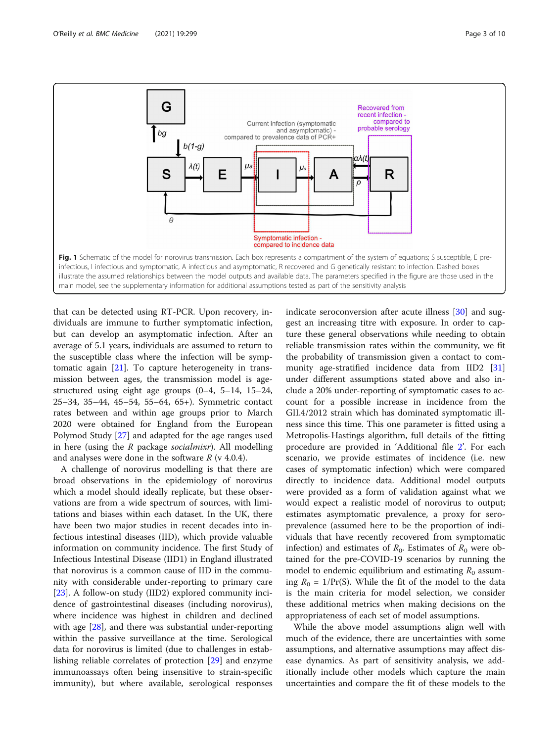<span id="page-2-0"></span>

that can be detected using RT-PCR. Upon recovery, individuals are immune to further symptomatic infection, but can develop an asymptomatic infection. After an average of 5.1 years, individuals are assumed to return to the susceptible class where the infection will be symptomatic again [[21\]](#page-9-0). To capture heterogeneity in transmission between ages, the transmission model is agestructured using eight age groups (0–4, 5–14, 15–24, 25–34, 35–44, 45–54, 55–64, 65+). Symmetric contact rates between and within age groups prior to March 2020 were obtained for England from the European Polymod Study [\[27](#page-9-0)] and adapted for the age ranges used in here (using the R package socialmixr). All modelling and analyses were done in the software  $R$  (v 4.0.4).

A challenge of norovirus modelling is that there are broad observations in the epidemiology of norovirus which a model should ideally replicate, but these observations are from a wide spectrum of sources, with limitations and biases within each dataset. In the UK, there have been two major studies in recent decades into infectious intestinal diseases (IID), which provide valuable information on community incidence. The first Study of Infectious Intestinal Disease (IID1) in England illustrated that norovirus is a common cause of IID in the community with considerable under-reporting to primary care [[23\]](#page-9-0). A follow-on study (IID2) explored community incidence of gastrointestinal diseases (including norovirus), where incidence was highest in children and declined with age [\[28\]](#page-9-0), and there was substantial under-reporting within the passive surveillance at the time. Serological data for norovirus is limited (due to challenges in establishing reliable correlates of protection [\[29](#page-9-0)] and enzyme immunoassays often being insensitive to strain-specific immunity), but where available, serological responses

indicate seroconversion after acute illness [[30](#page-9-0)] and suggest an increasing titre with exposure. In order to capture these general observations while needing to obtain reliable transmission rates within the community, we fit the probability of transmission given a contact to community age-stratified incidence data from IID2 [[31](#page-9-0)] under different assumptions stated above and also include a 20% under-reporting of symptomatic cases to account for a possible increase in incidence from the GII.4/2012 strain which has dominated symptomatic illness since this time. This one parameter is fitted using a Metropolis-Hastings algorithm, full details of the fitting procedure are provided in 'Additional file [2](#page-8-0)'. For each scenario, we provide estimates of incidence (i.e. new cases of symptomatic infection) which were compared directly to incidence data. Additional model outputs were provided as a form of validation against what we would expect a realistic model of norovirus to output; estimates asymptomatic prevalence, a proxy for seroprevalence (assumed here to be the proportion of individuals that have recently recovered from symptomatic infection) and estimates of  $R_0$ . Estimates of  $R_0$  were obtained for the pre-COVID-19 scenarios by running the model to endemic equilibrium and estimating  $R_0$  assuming  $R_0 = 1/\Pr(S)$ . While the fit of the model to the data is the main criteria for model selection, we consider these additional metrics when making decisions on the appropriateness of each set of model assumptions.

While the above model assumptions align well with much of the evidence, there are uncertainties with some assumptions, and alternative assumptions may affect disease dynamics. As part of sensitivity analysis, we additionally include other models which capture the main uncertainties and compare the fit of these models to the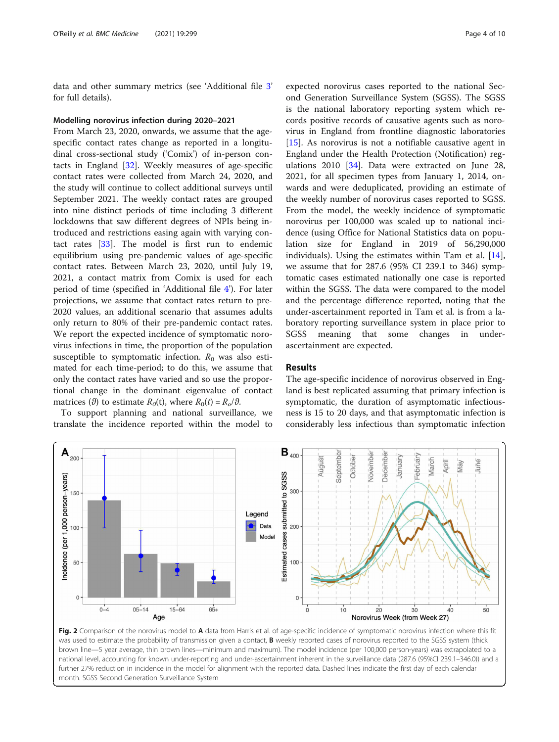<span id="page-3-0"></span>data and other summary metrics (see 'Additional file [3](#page-8-0)' for full details).

## Modelling norovirus infection during 2020–2021

From March 23, 2020, onwards, we assume that the agespecific contact rates change as reported in a longitudinal cross-sectional study ('Comix') of in-person contacts in England [[32](#page-9-0)]. Weekly measures of age-specific contact rates were collected from March 24, 2020, and the study will continue to collect additional surveys until September 2021. The weekly contact rates are grouped into nine distinct periods of time including 3 different lockdowns that saw different degrees of NPIs being introduced and restrictions easing again with varying contact rates [[33](#page-9-0)]. The model is first run to endemic equilibrium using pre-pandemic values of age-specific contact rates. Between March 23, 2020, until July 19, 2021, a contact matrix from Comix is used for each period of time (specified in 'Additional file [4](#page-8-0)'). For later projections, we assume that contact rates return to pre-2020 values, an additional scenario that assumes adults only return to 80% of their pre-pandemic contact rates. We report the expected incidence of symptomatic norovirus infections in time, the proportion of the population susceptible to symptomatic infection.  $R_0$  was also estimated for each time-period; to do this, we assume that only the contact rates have varied and so use the proportional change in the dominant eigenvalue of contact matrices ( $\theta$ ) to estimate  $R_0(t)$ , where  $R_0(t) = R_0/\theta$ .

To support planning and national surveillance, we translate the incidence reported within the model to

expected norovirus cases reported to the national Second Generation Surveillance System (SGSS). The SGSS is the national laboratory reporting system which records positive records of causative agents such as norovirus in England from frontline diagnostic laboratories [[15\]](#page-9-0). As norovirus is not a notifiable causative agent in England under the Health Protection (Notification) regulations 2010 [[34](#page-9-0)]. Data were extracted on June 28, 2021, for all specimen types from January 1, 2014, onwards and were deduplicated, providing an estimate of the weekly number of norovirus cases reported to SGSS. From the model, the weekly incidence of symptomatic norovirus per 100,000 was scaled up to national incidence (using Office for National Statistics data on population size for England in 2019 of 56,290,000 individuals). Using the estimates within Tam et al. [\[14](#page-9-0)], we assume that for 287.6 (95% CI 239.1 to 346) symptomatic cases estimated nationally one case is reported within the SGSS. The data were compared to the model and the percentage difference reported, noting that the under-ascertainment reported in Tam et al. is from a laboratory reporting surveillance system in place prior to SGSS meaning that some changes in underascertainment are expected.

## Results

The age-specific incidence of norovirus observed in England is best replicated assuming that primary infection is symptomatic, the duration of asymptomatic infectiousness is 15 to 20 days, and that asymptomatic infection is considerably less infectious than symptomatic infection



Fig. 2 Comparison of the norovirus model to A data from Harris et al. of age-specific incidence of symptomatic norovirus infection where this fit was used to estimate the probability of transmission given a contact, **B** weekly reported cases of norovirus reported to the SGSS system (thick brown line—5 year average, thin brown lines—minimum and maximum). The model incidence (per 100,000 person-years) was extrapolated to a national level, accounting for known under-reporting and under-ascertainment inherent in the surveillance data (287.6 (95%CI 239.1–346.0)) and a further 27% reduction in incidence in the model for alignment with the reported data. Dashed lines indicate the first day of each calendar month. SGSS Second Generation Surveillance System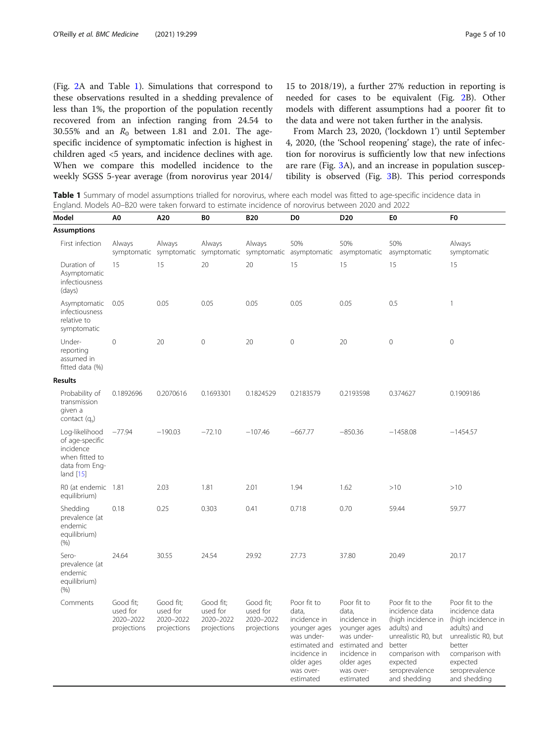(Fig. [2](#page-3-0)A and Table 1). Simulations that correspond to these observations resulted in a shedding prevalence of less than 1%, the proportion of the population recently recovered from an infection ranging from 24.54 to 30.55% and an  $R_0$  between 1.81 and 2.01. The agespecific incidence of symptomatic infection is highest in children aged <5 years, and incidence declines with age. When we compare this modelled incidence to the weekly SGSS 5-year average (from norovirus year 2014/

15 to 2018/19), a further 27% reduction in reporting is needed for cases to be equivalent (Fig. [2](#page-2-0)B). Other models with different assumptions had a poorer fit to the data and were not taken further in the analysis.

From March 23, 2020, ('lockdown 1') until September 4, 2020, (the 'School reopening' stage), the rate of infection for norovirus is sufficiently low that new infections are rare (Fig. [3A](#page-5-0)), and an increase in population susceptibility is observed (Fig. [3](#page-5-0)B). This period corresponds

Table 1 Summary of model assumptions trialled for norovirus, where each model was fitted to age-specific incidence data in England. Models A0–B20 were taken forward to estimate incidence of norovirus between 2020 and 2022

| Model                                                                                             | A0                                                | A20                                               | B <sub>0</sub>                                    | <b>B20</b>                                        | D <sub>0</sub>                                                                                                                              | D <sub>20</sub>                                                                                                                             | E0                                                                                                                                                                       | F <sub>0</sub>                                                                                                                                                           |
|---------------------------------------------------------------------------------------------------|---------------------------------------------------|---------------------------------------------------|---------------------------------------------------|---------------------------------------------------|---------------------------------------------------------------------------------------------------------------------------------------------|---------------------------------------------------------------------------------------------------------------------------------------------|--------------------------------------------------------------------------------------------------------------------------------------------------------------------------|--------------------------------------------------------------------------------------------------------------------------------------------------------------------------|
| <b>Assumptions</b>                                                                                |                                                   |                                                   |                                                   |                                                   |                                                                                                                                             |                                                                                                                                             |                                                                                                                                                                          |                                                                                                                                                                          |
| First infection                                                                                   | Always                                            | Always                                            | Always<br>symptomatic symptomatic symptomatic     | Always                                            | 50%<br>symptomatic asymptomatic                                                                                                             | 50%<br>asymptomatic                                                                                                                         | 50%<br>asymptomatic                                                                                                                                                      | Always<br>symptomatic                                                                                                                                                    |
| Duration of<br>Asymptomatic<br>infectiousness<br>(days)                                           | 15                                                | 15                                                | 20                                                | 20                                                | 15                                                                                                                                          | 15                                                                                                                                          | 15                                                                                                                                                                       | 15                                                                                                                                                                       |
| Asymptomatic<br>infectiousness<br>relative to<br>symptomatic                                      | 0.05                                              | 0.05                                              | 0.05                                              | 0.05                                              | 0.05                                                                                                                                        | 0.05                                                                                                                                        | 0.5                                                                                                                                                                      | $\mathbf{1}$                                                                                                                                                             |
| Under-<br>reporting<br>assumed in<br>fitted data (%)                                              | $\Omega$                                          | 20                                                | $\mathbf 0$                                       | 20                                                | $\mathbf 0$                                                                                                                                 | 20                                                                                                                                          | $\mathbf 0$                                                                                                                                                              | $\Omega$                                                                                                                                                                 |
| <b>Results</b>                                                                                    |                                                   |                                                   |                                                   |                                                   |                                                                                                                                             |                                                                                                                                             |                                                                                                                                                                          |                                                                                                                                                                          |
| Probability of<br>transmission<br>given a<br>contact $(q_s)$                                      | 0.1892696                                         | 0.2070616                                         | 0.1693301                                         | 0.1824529                                         | 0.2183579                                                                                                                                   | 0.2193598                                                                                                                                   | 0.374627                                                                                                                                                                 | 0.1909186                                                                                                                                                                |
| Log-likelihood<br>of age-specific<br>incidence<br>when fitted to<br>data from Eng-<br>land $[15]$ | $-77.94$                                          | $-190.03$                                         | $-72.10$                                          | $-107.46$                                         | $-667.77$                                                                                                                                   | $-850.36$                                                                                                                                   | $-1458.08$                                                                                                                                                               | $-1454.57$                                                                                                                                                               |
| R0 (at endemic 1.81<br>equilibrium)                                                               |                                                   | 2.03                                              | 1.81                                              | 2.01                                              | 1.94                                                                                                                                        | 1.62                                                                                                                                        | >10                                                                                                                                                                      | >10                                                                                                                                                                      |
| Shedding<br>prevalence (at<br>endemic<br>equilibrium)<br>(% )                                     | 0.18                                              | 0.25                                              | 0.303                                             | 0.41                                              | 0.718                                                                                                                                       | 0.70                                                                                                                                        | 59.44                                                                                                                                                                    | 59.77                                                                                                                                                                    |
| Sero-<br>prevalence (at<br>endemic<br>equilibrium)<br>(% )                                        | 24.64                                             | 30.55                                             | 24.54                                             | 29.92                                             | 27.73                                                                                                                                       | 37.80                                                                                                                                       | 20.49                                                                                                                                                                    | 20.17                                                                                                                                                                    |
| Comments                                                                                          | Good fit:<br>used for<br>2020-2022<br>projections | Good fit;<br>used for<br>2020-2022<br>projections | Good fit;<br>used for<br>2020-2022<br>projections | Good fit:<br>used for<br>2020-2022<br>projections | Poor fit to<br>data,<br>incidence in<br>younger ages<br>was under-<br>estimated and<br>incidence in<br>older ages<br>was over-<br>estimated | Poor fit to<br>data.<br>incidence in<br>younger ages<br>was under-<br>estimated and<br>incidence in<br>older ages<br>was over-<br>estimated | Poor fit to the<br>incidence data<br>(high incidence in<br>adults) and<br>unrealistic R0, but<br>better<br>comparison with<br>expected<br>seroprevalence<br>and shedding | Poor fit to the<br>incidence data<br>(high incidence in<br>adults) and<br>unrealistic R0, but<br>better<br>comparison with<br>expected<br>seroprevalence<br>and shedding |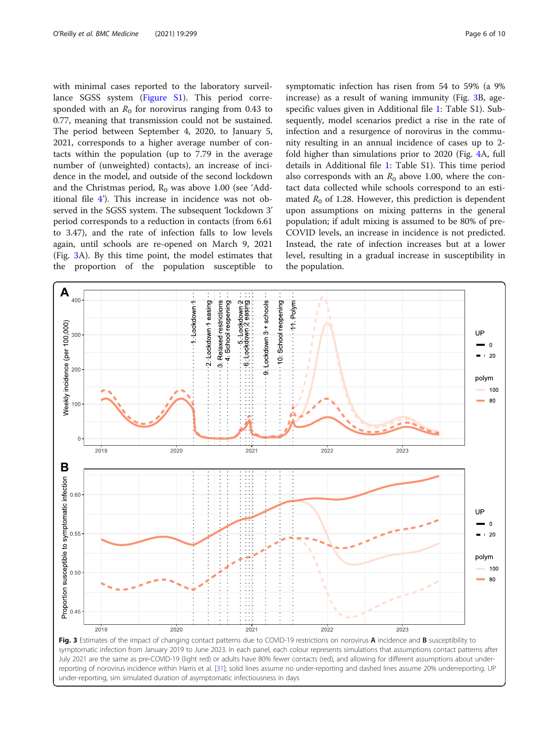<span id="page-5-0"></span>with minimal cases reported to the laboratory surveillance SGSS system [\(Figure S1\)](#page-8-0). This period corresponded with an  $R_0$  for norovirus ranging from 0.43 to 0.77, meaning that transmission could not be sustained. The period between September 4, 2020, to January 5, 2021, corresponds to a higher average number of contacts within the population (up to 7.79 in the average number of (unweighted) contacts), an increase of incidence in the model, and outside of the second lockdown and the Christmas period,  $R_0$  was above 1.00 (see 'Additional file [4](#page-8-0)'). This increase in incidence was not observed in the SGSS system. The subsequent 'lockdown 3' period corresponds to a reduction in contacts (from 6.61 to 3.47), and the rate of infection falls to low levels again, until schools are re-opened on March 9, 2021 (Fig. 3A). By this time point, the model estimates that the proportion of the population susceptible to

symptomatic infection has risen from 54 to 59% (a 9% increase) as a result of waning immunity (Fig. 3B, agespecific values given in Additional file [1](#page-8-0): Table S1). Subsequently, model scenarios predict a rise in the rate of infection and a resurgence of norovirus in the community resulting in an annual incidence of cases up to 2 fold higher than simulations prior to 2020 (Fig. [4](#page-6-0)A, full details in Additional file [1](#page-8-0): Table S1). This time period also corresponds with an  $R_0$  above 1.00, where the contact data collected while schools correspond to an estimated  $R_0$  of 1.28. However, this prediction is dependent upon assumptions on mixing patterns in the general population; if adult mixing is assumed to be 80% of pre-COVID levels, an increase in incidence is not predicted. Instead, the rate of infection increases but at a lower level, resulting in a gradual increase in susceptibility in the population.



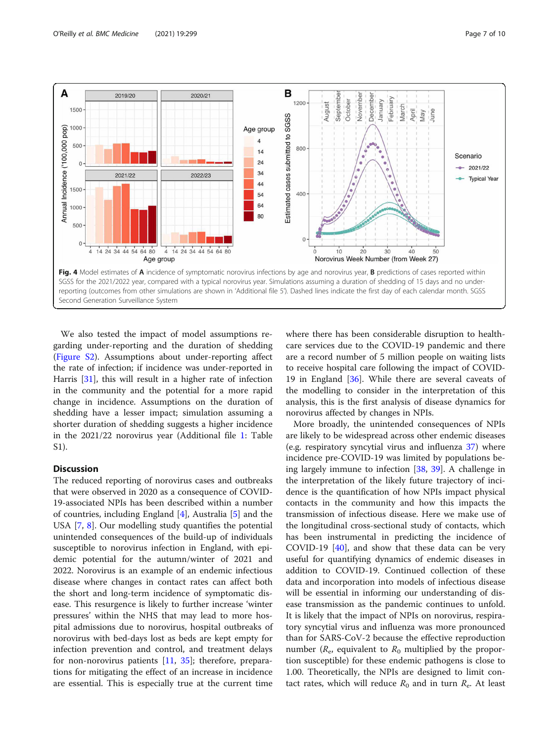<span id="page-6-0"></span>

We also tested the impact of model assumptions regarding under-reporting and the duration of shedding ([Figure S2\)](#page-8-0). Assumptions about under-reporting affect the rate of infection; if incidence was under-reported in Harris [[31](#page-9-0)], this will result in a higher rate of infection in the community and the potential for a more rapid change in incidence. Assumptions on the duration of shedding have a lesser impact; simulation assuming a shorter duration of shedding suggests a higher incidence in the 2021/22 norovirus year (Additional file [1](#page-8-0): Table S1).

## **Discussion**

The reduced reporting of norovirus cases and outbreaks that were observed in 2020 as a consequence of COVID-19-associated NPIs has been described within a number of countries, including England [[4\]](#page-8-0), Australia [\[5](#page-8-0)] and the USA [\[7](#page-8-0), [8\]](#page-9-0). Our modelling study quantifies the potential unintended consequences of the build-up of individuals susceptible to norovirus infection in England, with epidemic potential for the autumn/winter of 2021 and 2022. Norovirus is an example of an endemic infectious disease where changes in contact rates can affect both the short and long-term incidence of symptomatic disease. This resurgence is likely to further increase 'winter pressures' within the NHS that may lead to more hospital admissions due to norovirus, hospital outbreaks of norovirus with bed-days lost as beds are kept empty for infection prevention and control, and treatment delays for non-norovirus patients [\[11,](#page-9-0) [35](#page-9-0)]; therefore, preparations for mitigating the effect of an increase in incidence are essential. This is especially true at the current time where there has been considerable disruption to healthcare services due to the COVID-19 pandemic and there are a record number of 5 million people on waiting lists to receive hospital care following the impact of COVID-19 in England [[36\]](#page-9-0). While there are several caveats of the modelling to consider in the interpretation of this analysis, this is the first analysis of disease dynamics for norovirus affected by changes in NPIs.

More broadly, the unintended consequences of NPIs are likely to be widespread across other endemic diseases (e.g. respiratory syncytial virus and influenza [37\)](#page-9-0) where incidence pre-COVID-19 was limited by populations being largely immune to infection [[38,](#page-9-0) [39](#page-9-0)]. A challenge in the interpretation of the likely future trajectory of incidence is the quantification of how NPIs impact physical contacts in the community and how this impacts the transmission of infectious disease. Here we make use of the longitudinal cross-sectional study of contacts, which has been instrumental in predicting the incidence of COVID-19  $[40]$ , and show that these data can be very useful for quantifying dynamics of endemic diseases in addition to COVID-19. Continued collection of these data and incorporation into models of infectious disease will be essential in informing our understanding of disease transmission as the pandemic continues to unfold. It is likely that the impact of NPIs on norovirus, respiratory syncytial virus and influenza was more pronounced than for SARS-CoV-2 because the effective reproduction number ( $R_e$ , equivalent to  $R_0$  multiplied by the proportion susceptible) for these endemic pathogens is close to 1.00. Theoretically, the NPIs are designed to limit contact rates, which will reduce  $R_0$  and in turn  $R_e$ . At least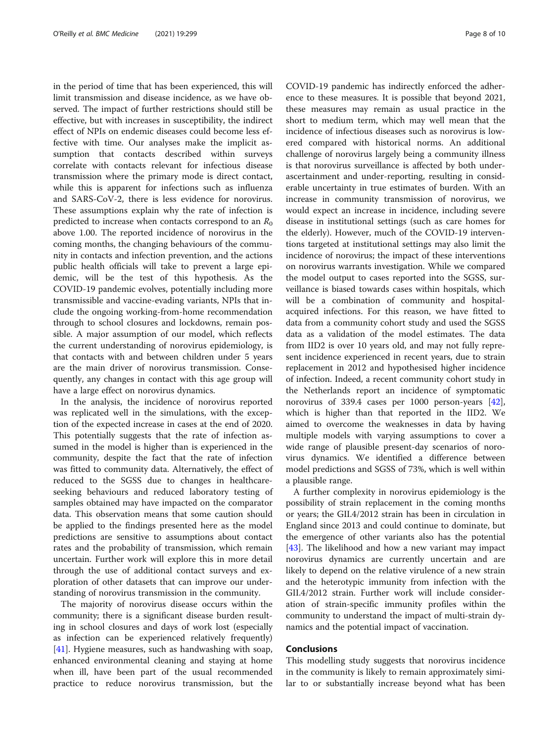in the period of time that has been experienced, this will limit transmission and disease incidence, as we have observed. The impact of further restrictions should still be effective, but with increases in susceptibility, the indirect effect of NPIs on endemic diseases could become less effective with time. Our analyses make the implicit assumption that contacts described within surveys correlate with contacts relevant for infectious disease transmission where the primary mode is direct contact, while this is apparent for infections such as influenza and SARS-CoV-2, there is less evidence for norovirus. These assumptions explain why the rate of infection is predicted to increase when contacts correspond to an  $R_0$ above 1.00. The reported incidence of norovirus in the coming months, the changing behaviours of the community in contacts and infection prevention, and the actions public health officials will take to prevent a large epidemic, will be the test of this hypothesis. As the COVID-19 pandemic evolves, potentially including more transmissible and vaccine-evading variants, NPIs that include the ongoing working-from-home recommendation through to school closures and lockdowns, remain possible. A major assumption of our model, which reflects the current understanding of norovirus epidemiology, is that contacts with and between children under 5 years are the main driver of norovirus transmission. Consequently, any changes in contact with this age group will have a large effect on norovirus dynamics.

In the analysis, the incidence of norovirus reported was replicated well in the simulations, with the exception of the expected increase in cases at the end of 2020. This potentially suggests that the rate of infection assumed in the model is higher than is experienced in the community, despite the fact that the rate of infection was fitted to community data. Alternatively, the effect of reduced to the SGSS due to changes in healthcareseeking behaviours and reduced laboratory testing of samples obtained may have impacted on the comparator data. This observation means that some caution should be applied to the findings presented here as the model predictions are sensitive to assumptions about contact rates and the probability of transmission, which remain uncertain. Further work will explore this in more detail through the use of additional contact surveys and exploration of other datasets that can improve our understanding of norovirus transmission in the community.

The majority of norovirus disease occurs within the community; there is a significant disease burden resulting in school closures and days of work lost (especially as infection can be experienced relatively frequently) [[41\]](#page-9-0). Hygiene measures, such as handwashing with soap, enhanced environmental cleaning and staying at home when ill, have been part of the usual recommended practice to reduce norovirus transmission, but the COVID-19 pandemic has indirectly enforced the adherence to these measures. It is possible that beyond 2021, these measures may remain as usual practice in the short to medium term, which may well mean that the incidence of infectious diseases such as norovirus is lowered compared with historical norms. An additional challenge of norovirus largely being a community illness is that norovirus surveillance is affected by both underascertainment and under-reporting, resulting in considerable uncertainty in true estimates of burden. With an increase in community transmission of norovirus, we would expect an increase in incidence, including severe disease in institutional settings (such as care homes for the elderly). However, much of the COVID-19 interventions targeted at institutional settings may also limit the incidence of norovirus; the impact of these interventions on norovirus warrants investigation. While we compared the model output to cases reported into the SGSS, surveillance is biased towards cases within hospitals, which will be a combination of community and hospitalacquired infections. For this reason, we have fitted to data from a community cohort study and used the SGSS data as a validation of the model estimates. The data from IID2 is over 10 years old, and may not fully represent incidence experienced in recent years, due to strain replacement in 2012 and hypothesised higher incidence of infection. Indeed, a recent community cohort study in the Netherlands report an incidence of symptomatic norovirus of 339.4 cases per 1000 person-years [\[42](#page-9-0)], which is higher than that reported in the IID2. We aimed to overcome the weaknesses in data by having multiple models with varying assumptions to cover a wide range of plausible present-day scenarios of norovirus dynamics. We identified a difference between model predictions and SGSS of 73%, which is well within a plausible range.

A further complexity in norovirus epidemiology is the possibility of strain replacement in the coming months or years; the GII.4/2012 strain has been in circulation in England since 2013 and could continue to dominate, but the emergence of other variants also has the potential [[43\]](#page-9-0). The likelihood and how a new variant may impact norovirus dynamics are currently uncertain and are likely to depend on the relative virulence of a new strain and the heterotypic immunity from infection with the GII.4/2012 strain. Further work will include consideration of strain-specific immunity profiles within the community to understand the impact of multi-strain dynamics and the potential impact of vaccination.

## Conclusions

This modelling study suggests that norovirus incidence in the community is likely to remain approximately similar to or substantially increase beyond what has been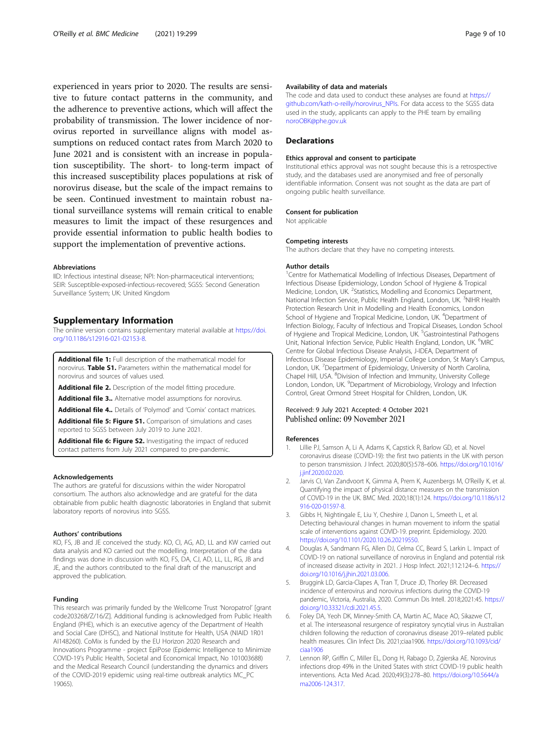<span id="page-8-0"></span>experienced in years prior to 2020. The results are sensitive to future contact patterns in the community, and the adherence to preventive actions, which will affect the probability of transmission. The lower incidence of norovirus reported in surveillance aligns with model assumptions on reduced contact rates from March 2020 to June 2021 and is consistent with an increase in population susceptibility. The short- to long-term impact of this increased susceptibility places populations at risk of norovirus disease, but the scale of the impact remains to be seen. Continued investment to maintain robust national surveillance systems will remain critical to enable measures to limit the impact of these resurgences and provide essential information to public health bodies to support the implementation of preventive actions.

#### Abbreviations

IID: Infectious intestinal disease; NPI: Non-pharmaceutical interventions; SEIR: Susceptible-exposed-infectious-recovered; SGSS: Second Generation Surveillance System; UK: United Kingdom

## Supplementary Information

The online version contains supplementary material available at [https://doi.](https://doi.org/10.1186/s12916-021-02153-8) [org/10.1186/s12916-021-02153-8.](https://doi.org/10.1186/s12916-021-02153-8)

Additional file 1: Full description of the mathematical model for norovirus. Table S1. Parameters within the mathematical model for norovirus and sources of values used.

Additional file 2. Description of the model fitting procedure.

Additional file 3.. Alternative model assumptions for norovirus.

Additional file 4.. Details of 'Polymod' and 'Comix' contact matrices. Additional file 5: Figure S1. Comparison of simulations and cases

reported to SGSS between July 2019 to June 2021.

Additional file 6: Figure S2. Investigating the impact of reduced contact patterns from July 2021 compared to pre-pandemic.

#### Acknowledgements

The authors are grateful for discussions within the wider Noropatrol consortium. The authors also acknowledge and are grateful for the data obtainable from public health diagnostic laboratories in England that submit laboratory reports of norovirus into SGSS.

#### Authors' contributions

KO, FS, JB and JE conceived the study. KO, CI, AG, AD, LL and KW carried out data analysis and KO carried out the modelling. Interpretation of the data findings was done in discussion with KO, FS, DA, CJ, AD, LL, LL, RG, JB and JE, and the authors contributed to the final draft of the manuscript and approved the publication.

## Funding

This research was primarily funded by the Wellcome Trust 'Noropatrol' [grant code203268/Z/16/Z]. Additional funding is acknowledged from Public Health England (PHE), which is an executive agency of the Department of Health and Social Care (DHSC), and National Institute for Health, USA (NIAID 1R01 AI148260). CoMix is funded by the EU Horizon 2020 Research and Innovations Programme - project EpiPose (Epidemic Intelligence to Minimize COVID-19's Public Health, Societal and Economical Impact, No 101003688) and the Medical Research Council (understanding the dynamics and drivers of the COVID-2019 epidemic using real-time outbreak analytics MC\_PC 19065).

#### Availability of data and materials

The code and data used to conduct these analyses are found at [https://](https://github.com/kath-o-reilly/norovirus_NPIs) [github.com/kath-o-reilly/norovirus\\_NPIs.](https://github.com/kath-o-reilly/norovirus_NPIs) For data access to the SGSS data used in the study, applicants can apply to the PHE team by emailing [noroOBK@phe.gov.uk](mailto:noroOBK@phe.gov.uk)

#### **Declarations**

### Ethics approval and consent to participate

Institutional ethics approval was not sought because this is a retrospective study, and the databases used are anonymised and free of personally identifiable information. Consent was not sought as the data are part of ongoing public health surveillance.

#### Consent for publication

Not applicable

#### Competing interests

The authors declare that they have no competing interests.

#### Author details

<sup>1</sup> Centre for Mathematical Modelling of Infectious Diseases, Department of Infectious Disease Epidemiology, London School of Hygiene & Tropical Medicine, London, UK. <sup>2</sup>Statistics, Modelling and Economics Department National Infection Service, Public Health England, London, UK. <sup>3</sup>NIHR Health Protection Research Unit in Modelling and Health Economics, London School of Hygiene and Tropical Medicine, London, UK. <sup>4</sup>Department of Infection Biology, Faculty of Infectious and Tropical Diseases, London School of Hygiene and Tropical Medicine, London, UK.<sup>5</sup> Gastrointestinal Pathogens Unit, National Infection Service, Public Health England, London, UK. <sup>6</sup>MRC Centre for Global Infectious Disease Analysis, J-IDEA, Department of Infectious Disease Epidemiology, Imperial College London, St Mary's Campus, London, UK.<sup>7</sup> Department of Epidemiology, University of North Carolina Chapel Hill, USA. <sup>8</sup> Division of Infection and Immunity, University College London, London, UK. <sup>9</sup>Department of Microbiology, Virology and Infection Control, Great Ormond Street Hospital for Children, London, UK.

# Received: 9 July 2021 Accepted: 4 October 2021<br>Published online: 09 November 2021

#### References

- 1. Lillie PJ, Samson A, Li A, Adams K, Capstick R, Barlow GD, et al. Novel coronavirus disease (COVID-19): the first two patients in the UK with person to person transmission. J Infect. 2020;80(5):578–606. [https://doi.org/10.1016/](https://doi.org/10.1016/j.jinf.2020.02.020) [j.jinf.2020.02.020](https://doi.org/10.1016/j.jinf.2020.02.020).
- 2. Jarvis CI, Van Zandvoort K, Gimma A, Prem K, Auzenbergs M, O'Reilly K, et al. Quantifying the impact of physical distance measures on the transmission of COVID-19 in the UK. BMC Med. 2020;18(1):124. [https://doi.org/10.1186/s12](https://doi.org/10.1186/s12916-020-01597-8) [916-020-01597-8.](https://doi.org/10.1186/s12916-020-01597-8)
- 3. Gibbs H, Nightingale E, Liu Y, Cheshire J, Danon L, Smeeth L, et al. Detecting behavioural changes in human movement to inform the spatial scale of interventions against COVID-19. preprint. Epidemiology. 2020. <https://doi.org/10.1101/2020.10.26.20219550>.
- 4. Douglas A, Sandmann FG, Allen DJ, Celma CC, Beard S, Larkin L. Impact of COVID-19 on national surveillance of norovirus in England and potential risk of increased disease activity in 2021. J Hosp Infect. 2021;112:124–6. [https://](https://doi.org/10.1016/j.jhin.2021.03.006) [doi.org/10.1016/j.jhin.2021.03.006.](https://doi.org/10.1016/j.jhin.2021.03.006)
- 5. Bruggink LD, Garcia-Clapes A, Tran T, Druce JD, Thorley BR. Decreased incidence of enterovirus and norovirus infections during the COVID-19 pandemic, Victoria, Australia, 2020. Commun Dis Intell. 2018;2021:45. [https://](https://doi.org/10.33321/cdi.2021.45.5) [doi.org/10.33321/cdi.2021.45.5.](https://doi.org/10.33321/cdi.2021.45.5)
- 6. Foley DA, Yeoh DK, Minney-Smith CA, Martin AC, Mace AO, Sikazwe CT, et al. The interseasonal resurgence of respiratory syncytial virus in Australian children following the reduction of coronavirus disease 2019–related public health measures. Clin Infect Dis. 2021;ciaa1906. [https://doi.org/10.1093/cid/](https://doi.org/10.1093/cid/ciaa1906) [ciaa1906](https://doi.org/10.1093/cid/ciaa1906)
- 7. Lennon RP, Griffin C, Miller EL, Dong H, Rabago D, Zgierska AE. Norovirus infections drop 49% in the United States with strict COVID-19 public health interventions. Acta Med Acad. 2020;49(3):278–80. [https://doi.org/10.5644/a](https://doi.org/10.5644/ama2006-124.317) [ma2006-124.317](https://doi.org/10.5644/ama2006-124.317).